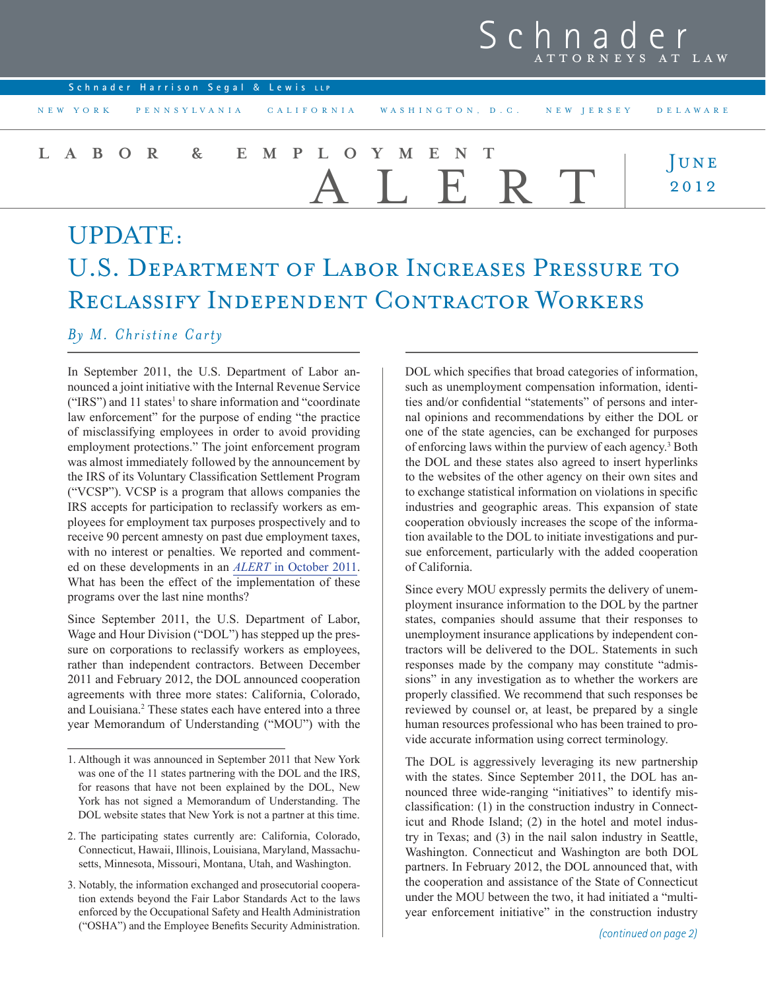## Schna ATTORNEYS AT LAW

| Schnader Harrison Segal & Lewis LLP |                                                                       |                                    |
|-------------------------------------|-----------------------------------------------------------------------|------------------------------------|
|                                     | NEW YORK PENNSYLVANIA CALIFORNIA WASHINGTON, D.C. NEW JERSEY DELAWARE |                                    |
| LABOR & EMPLOYMENT                  | I. E. R                                                               | $\frac{\text{J} \text{UNE}}{2012}$ |
| UPDATE:                             |                                                                       |                                    |

# U.S. Department of Labor Increases Pressure to Reclassify Independent Contractor Workers

### *By M. Christine Carty*

In September 2011, the U.S. Department of Labor announced a joint initiative with the Internal Revenue Service  $("IRS")$  and 11 states<sup>1</sup> to share information and "coordinate" law enforcement" for the purpose of ending "the practice of misclassifying employees in order to avoid providing employment protections." The joint enforcement program was almost immediately followed by the announcement by the IRS of its Voluntary Classification Settlement Program ("VCSP"). VCSP is a program that allows companies the IRS accepts for participation to reclassify workers as employees for employment tax purposes prospectively and to receive 90 percent amnesty on past due employment taxes, with no interest or penalties. We reported and commented on these developments in an *Alert* [in October 2011.](http://www.schnader.com/files/Publication/1901deff-1d98-4b76-b4ca-2fc6bc1a8964/Presentation/PublicationAttachment/076abefa-f0fb-49c8-b6bd-6d7c72c15ba7/LEAlertThreeNewPrograms_10-2011.pdf) What has been the effect of the implementation of these programs over the last nine months?

Since September 2011, the U.S. Department of Labor, Wage and Hour Division ("DOL") has stepped up the pressure on corporations to reclassify workers as employees, rather than independent contractors. Between December 2011 and February 2012, the DOL announced cooperation agreements with three more states: California, Colorado, and Louisiana.<sup>2</sup> These states each have entered into a three year Memorandum of Understanding ("MOU") with the

DOL which specifies that broad categories of information, such as unemployment compensation information, identities and/or confidential "statements" of persons and internal opinions and recommendations by either the DOL or one of the state agencies, can be exchanged for purposes of enforcing laws within the purview of each agency.<sup>3</sup> Both the DOL and these states also agreed to insert hyperlinks to the websites of the other agency on their own sites and to exchange statistical information on violations in specific industries and geographic areas. This expansion of state cooperation obviously increases the scope of the information available to the DOL to initiate investigations and pursue enforcement, particularly with the added cooperation of California.

Since every MOU expressly permits the delivery of unemployment insurance information to the DOL by the partner states, companies should assume that their responses to unemployment insurance applications by independent contractors will be delivered to the DOL. Statements in such responses made by the company may constitute "admissions" in any investigation as to whether the workers are properly classified. We recommend that such responses be reviewed by counsel or, at least, be prepared by a single human resources professional who has been trained to provide accurate information using correct terminology.

The DOL is aggressively leveraging its new partnership with the states. Since September 2011, the DOL has announced three wide-ranging "initiatives" to identify misclassification: (1) in the construction industry in Connecticut and Rhode Island; (2) in the hotel and motel industry in Texas; and (3) in the nail salon industry in Seattle, Washington. Connecticut and Washington are both DOL partners. In February 2012, the DOL announced that, with the cooperation and assistance of the State of Connecticut under the MOU between the two, it had initiated a "multiyear enforcement initiative" in the construction industry

<sup>1.</sup> Although it was announced in September 2011 that New York was one of the 11 states partnering with the DOL and the IRS, for reasons that have not been explained by the DOL, New York has not signed a Memorandum of Understanding. The DOL website states that New York is not a partner at this time.

<sup>2.</sup> The participating states currently are: California, Colorado, Connecticut, Hawaii, Illinois, Louisiana, Maryland, Massachusetts, Minnesota, Missouri, Montana, Utah, and Washington.

<sup>3.</sup> Notably, the information exchanged and prosecutorial cooperation extends beyond the Fair Labor Standards Act to the laws enforced by the Occupational Safety and Health Administration ("OSHA") and the Employee Benefits Security Administration.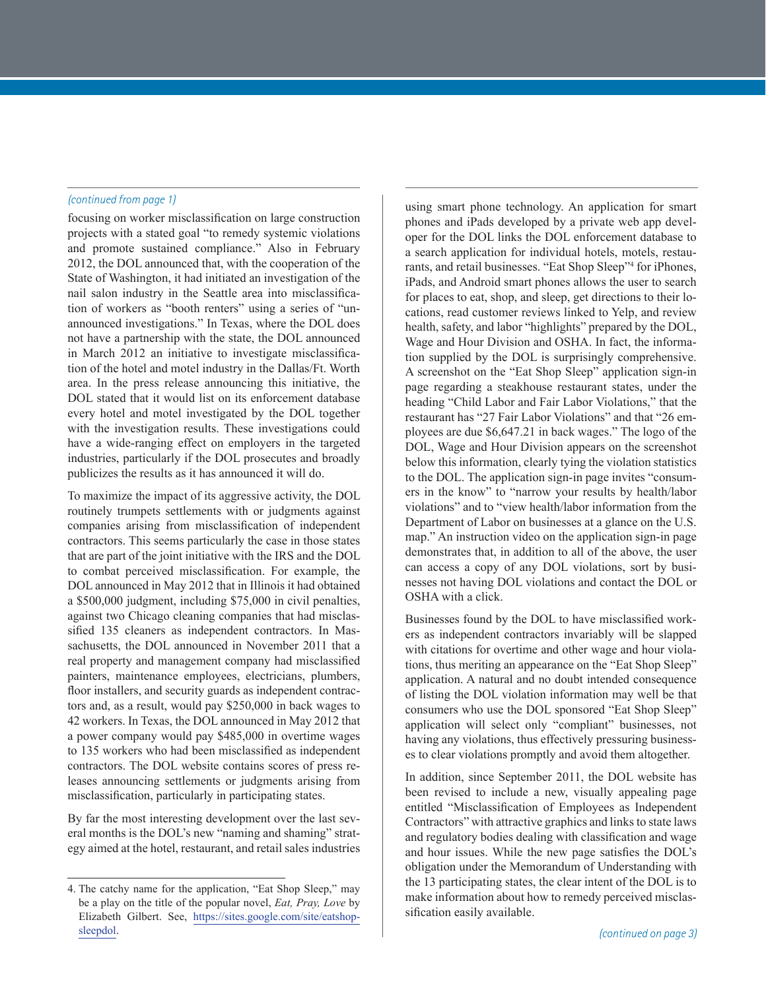#### *(continued from page 1)*

focusing on worker misclassification on large construction projects with a stated goal "to remedy systemic violations and promote sustained compliance." Also in February 2012, the DOL announced that, with the cooperation of the State of Washington, it had initiated an investigation of the nail salon industry in the Seattle area into misclassification of workers as "booth renters" using a series of "unannounced investigations." In Texas, where the DOL does not have a partnership with the state, the DOL announced in March 2012 an initiative to investigate misclassification of the hotel and motel industry in the Dallas/Ft. Worth area. In the press release announcing this initiative, the DOL stated that it would list on its enforcement database every hotel and motel investigated by the DOL together with the investigation results. These investigations could have a wide-ranging effect on employers in the targeted industries, particularly if the DOL prosecutes and broadly publicizes the results as it has announced it will do.

To maximize the impact of its aggressive activity, the DOL routinely trumpets settlements with or judgments against companies arising from misclassification of independent contractors. This seems particularly the case in those states that are part of the joint initiative with the IRS and the DOL to combat perceived misclassification. For example, the DOL announced in May 2012 that in Illinois it had obtained a \$500,000 judgment, including \$75,000 in civil penalties, against two Chicago cleaning companies that had misclassified 135 cleaners as independent contractors. In Massachusetts, the DOL announced in November 2011 that a real property and management company had misclassified painters, maintenance employees, electricians, plumbers, floor installers, and security guards as independent contractors and, as a result, would pay \$250,000 in back wages to 42 workers. In Texas, the DOL announced in May 2012 that a power company would pay \$485,000 in overtime wages to 135 workers who had been misclassified as independent contractors. The DOL website contains scores of press releases announcing settlements or judgments arising from misclassification, particularly in participating states.

By far the most interesting development over the last several months is the DOL's new "naming and shaming" strategy aimed at the hotel, restaurant, and retail sales industries

using smart phone technology. An application for smart phones and iPads developed by a private web app developer for the DOL links the DOL enforcement database to a search application for individual hotels, motels, restaurants, and retail businesses. "Eat Shop Sleep"4 for iPhones, iPads, and Android smart phones allows the user to search for places to eat, shop, and sleep, get directions to their locations, read customer reviews linked to Yelp, and review health, safety, and labor "highlights" prepared by the DOL, Wage and Hour Division and OSHA. In fact, the information supplied by the DOL is surprisingly comprehensive. A screenshot on the "Eat Shop Sleep" application sign-in page regarding a steakhouse restaurant states, under the heading "Child Labor and Fair Labor Violations," that the restaurant has "27 Fair Labor Violations" and that "26 employees are due \$6,647.21 in back wages." The logo of the DOL, Wage and Hour Division appears on the screenshot below this information, clearly tying the violation statistics to the DOL. The application sign-in page invites "consumers in the know" to "narrow your results by health/labor violations" and to "view health/labor information from the Department of Labor on businesses at a glance on the U.S. map." An instruction video on the application sign-in page demonstrates that, in addition to all of the above, the user can access a copy of any DOL violations, sort by businesses not having DOL violations and contact the DOL or OSHA with a click.

Businesses found by the DOL to have misclassified workers as independent contractors invariably will be slapped with citations for overtime and other wage and hour violations, thus meriting an appearance on the "Eat Shop Sleep" application. A natural and no doubt intended consequence of listing the DOL violation information may well be that consumers who use the DOL sponsored "Eat Shop Sleep" application will select only "compliant" businesses, not having any violations, thus effectively pressuring businesses to clear violations promptly and avoid them altogether.

In addition, since September 2011, the DOL website has been revised to include a new, visually appealing page entitled "Misclassification of Employees as Independent Contractors" with attractive graphics and links to state laws and regulatory bodies dealing with classification and wage and hour issues. While the new page satisfies the DOL's obligation under the Memorandum of Understanding with the 13 participating states, the clear intent of the DOL is to make information about how to remedy perceived misclassification easily available.

<sup>4.</sup> The catchy name for the application, "Eat Shop Sleep," may be a play on the title of the popular novel, *Eat, Pray, Love* by Elizabeth Gilbert. See, [https://sites.google.com/site/eatshop](https://sites.google.com/site/eatshopsleepdol/)[sleepdol.](https://sites.google.com/site/eatshopsleepdol/)